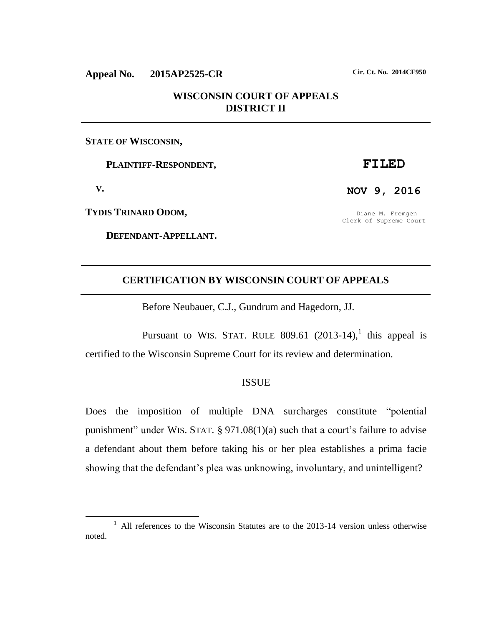# **Appeal No. 2015AP2525-CR Cir. Ct. No. 2014CF950**

# **WISCONSIN COURT OF APPEALS DISTRICT II**

## **STATE OF WISCONSIN,**

 **PLAINTIFF-RESPONDENT,**

 **V.**

 $\overline{a}$ 

**TYDIS TRINARD ODOM,**

 **DEFENDANT-APPELLANT.**

## **FILED**

**NOV 9, 2016**

Diane M. Fremgen Clerk of Supreme Court

## **CERTIFICATION BY WISCONSIN COURT OF APPEALS**

Before Neubauer, C.J., Gundrum and Hagedorn, JJ.

Pursuant to WIS. STAT. RULE 809.61  $(2013-14)$ , this appeal is certified to the Wisconsin Supreme Court for its review and determination.

### ISSUE

Does the imposition of multiple DNA surcharges constitute "potential punishment" under WIS. STAT. § 971.08(1)(a) such that a court's failure to advise a defendant about them before taking his or her plea establishes a prima facie showing that the defendant's plea was unknowing, involuntary, and unintelligent?

<sup>&</sup>lt;sup>1</sup> All references to the Wisconsin Statutes are to the 2013-14 version unless otherwise noted.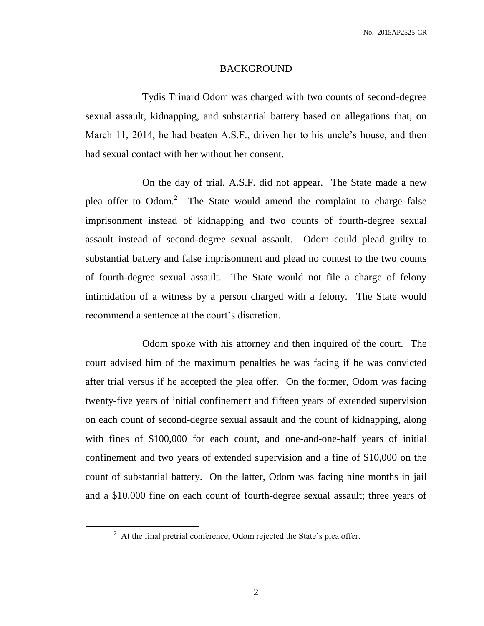#### BACKGROUND

Tydis Trinard Odom was charged with two counts of second-degree sexual assault, kidnapping, and substantial battery based on allegations that, on March 11, 2014, he had beaten A.S.F., driven her to his uncle's house, and then had sexual contact with her without her consent.

On the day of trial, A.S.F. did not appear. The State made a new plea offer to Odom. $2$  The State would amend the complaint to charge false imprisonment instead of kidnapping and two counts of fourth-degree sexual assault instead of second-degree sexual assault. Odom could plead guilty to substantial battery and false imprisonment and plead no contest to the two counts of fourth-degree sexual assault. The State would not file a charge of felony intimidation of a witness by a person charged with a felony. The State would recommend a sentence at the court's discretion.

Odom spoke with his attorney and then inquired of the court. The court advised him of the maximum penalties he was facing if he was convicted after trial versus if he accepted the plea offer. On the former, Odom was facing twenty-five years of initial confinement and fifteen years of extended supervision on each count of second-degree sexual assault and the count of kidnapping, along with fines of \$100,000 for each count, and one-and-one-half years of initial confinement and two years of extended supervision and a fine of \$10,000 on the count of substantial battery. On the latter, Odom was facing nine months in jail and a \$10,000 fine on each count of fourth-degree sexual assault; three years of

 $2<sup>2</sup>$  At the final pretrial conference, Odom rejected the State's plea offer.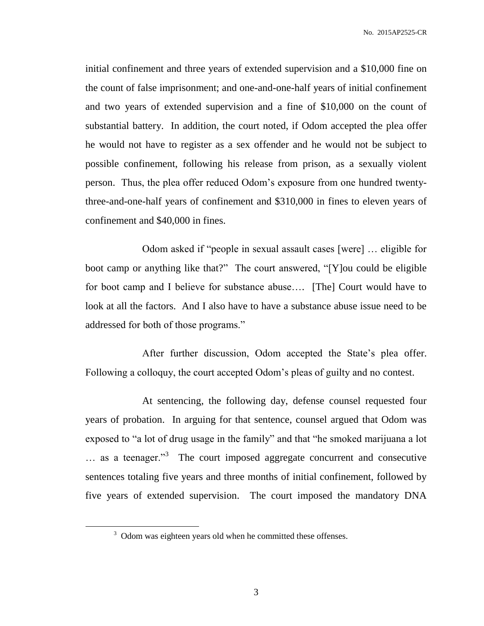initial confinement and three years of extended supervision and a \$10,000 fine on the count of false imprisonment; and one-and-one-half years of initial confinement and two years of extended supervision and a fine of \$10,000 on the count of substantial battery. In addition, the court noted, if Odom accepted the plea offer he would not have to register as a sex offender and he would not be subject to possible confinement, following his release from prison, as a sexually violent person. Thus, the plea offer reduced Odom's exposure from one hundred twentythree-and-one-half years of confinement and \$310,000 in fines to eleven years of confinement and \$40,000 in fines.

Odom asked if "people in sexual assault cases [were] … eligible for boot camp or anything like that?" The court answered, "[Y]ou could be eligible for boot camp and I believe for substance abuse…. [The] Court would have to look at all the factors. And I also have to have a substance abuse issue need to be addressed for both of those programs."

After further discussion, Odom accepted the State's plea offer. Following a colloquy, the court accepted Odom's pleas of guilty and no contest.

At sentencing, the following day, defense counsel requested four years of probation. In arguing for that sentence, counsel argued that Odom was exposed to "a lot of drug usage in the family" and that "he smoked marijuana a lot ... as a teenager."<sup>3</sup> The court imposed aggregate concurrent and consecutive sentences totaling five years and three months of initial confinement, followed by five years of extended supervision. The court imposed the mandatory DNA

 $3$  Odom was eighteen years old when he committed these offenses.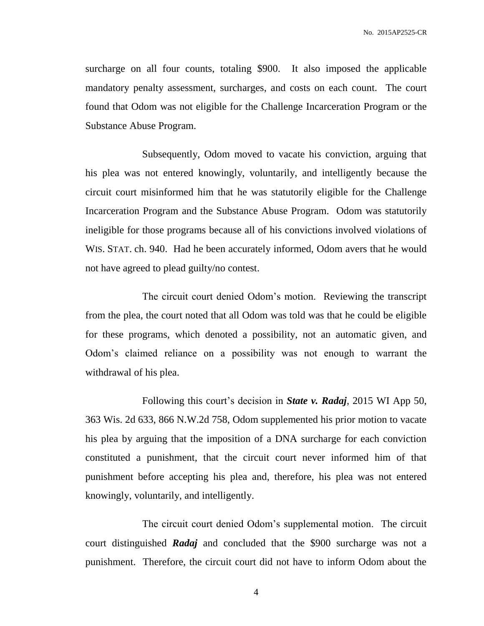surcharge on all four counts, totaling \$900. It also imposed the applicable mandatory penalty assessment, surcharges, and costs on each count. The court found that Odom was not eligible for the Challenge Incarceration Program or the Substance Abuse Program.

Subsequently, Odom moved to vacate his conviction, arguing that his plea was not entered knowingly, voluntarily, and intelligently because the circuit court misinformed him that he was statutorily eligible for the Challenge Incarceration Program and the Substance Abuse Program. Odom was statutorily ineligible for those programs because all of his convictions involved violations of WIS. STAT. ch. 940. Had he been accurately informed, Odom avers that he would not have agreed to plead guilty/no contest.

The circuit court denied Odom's motion. Reviewing the transcript from the plea, the court noted that all Odom was told was that he could be eligible for these programs, which denoted a possibility, not an automatic given, and Odom's claimed reliance on a possibility was not enough to warrant the withdrawal of his plea.

Following this court's decision in *State v. Radaj*, 2015 WI App 50, 363 Wis. 2d 633, 866 N.W.2d 758, Odom supplemented his prior motion to vacate his plea by arguing that the imposition of a DNA surcharge for each conviction constituted a punishment, that the circuit court never informed him of that punishment before accepting his plea and, therefore, his plea was not entered knowingly, voluntarily, and intelligently.

The circuit court denied Odom's supplemental motion. The circuit court distinguished *Radaj* and concluded that the \$900 surcharge was not a punishment. Therefore, the circuit court did not have to inform Odom about the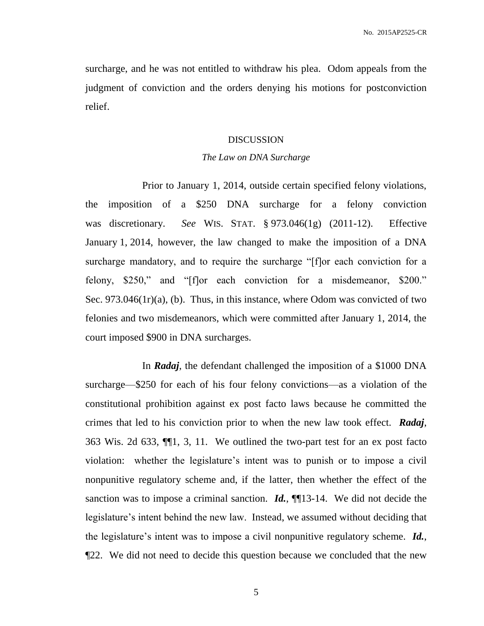surcharge, and he was not entitled to withdraw his plea. Odom appeals from the judgment of conviction and the orders denying his motions for postconviction relief.

#### DISCUSSION

#### *The Law on DNA Surcharge*

Prior to January 1, 2014, outside certain specified felony violations, the imposition of a \$250 DNA surcharge for a felony conviction was discretionary. *See* WIS. STAT. § 973.046(1g) (2011-12). Effective January 1, 2014, however, the law changed to make the imposition of a DNA surcharge mandatory, and to require the surcharge "[f]or each conviction for a felony, \$250," and "[f]or each conviction for a misdemeanor, \$200." Sec. 973.046(1r)(a), (b). Thus, in this instance, where Odom was convicted of two felonies and two misdemeanors, which were committed after January 1, 2014, the court imposed \$900 in DNA surcharges.

In *Radaj*, the defendant challenged the imposition of a \$1000 DNA surcharge—\$250 for each of his four felony convictions—as a violation of the constitutional prohibition against ex post facto laws because he committed the crimes that led to his conviction prior to when the new law took effect. *Radaj*, 363 Wis. 2d 633, ¶¶1, 3, 11. We outlined the two-part test for an ex post facto violation: whether the legislature's intent was to punish or to impose a civil nonpunitive regulatory scheme and, if the latter, then whether the effect of the sanction was to impose a criminal sanction. **Id.**, **[1**] 13-14. We did not decide the legislature's intent behind the new law. Instead, we assumed without deciding that the legislature's intent was to impose a civil nonpunitive regulatory scheme. *Id.*, ¶22. We did not need to decide this question because we concluded that the new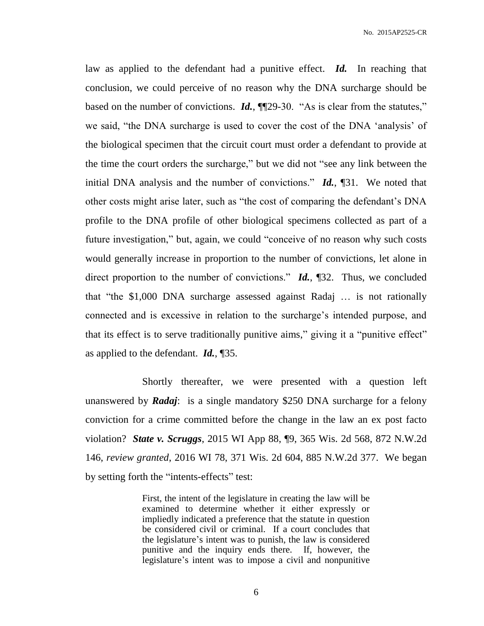law as applied to the defendant had a punitive effect. *Id.* In reaching that conclusion, we could perceive of no reason why the DNA surcharge should be based on the number of convictions. *Id.*, **[1**] [29-30. "As is clear from the statutes," we said, "the DNA surcharge is used to cover the cost of the DNA 'analysis' of the biological specimen that the circuit court must order a defendant to provide at the time the court orders the surcharge," but we did not "see any link between the initial DNA analysis and the number of convictions." *Id.*, ¶31. We noted that other costs might arise later, such as "the cost of comparing the defendant's DNA profile to the DNA profile of other biological specimens collected as part of a future investigation," but, again, we could "conceive of no reason why such costs would generally increase in proportion to the number of convictions, let alone in direct proportion to the number of convictions." *Id.*, ¶32. Thus, we concluded that "the \$1,000 DNA surcharge assessed against Radaj … is not rationally connected and is excessive in relation to the surcharge's intended purpose, and that its effect is to serve traditionally punitive aims," giving it a "punitive effect" as applied to the defendant. *Id.*, ¶35.

Shortly thereafter, we were presented with a question left unanswered by *Radaj*: is a single mandatory \$250 DNA surcharge for a felony conviction for a crime committed before the change in the law an ex post facto violation? *State v. Scruggs*, 2015 WI App 88, ¶9, 365 Wis. 2d 568, 872 N.W.2d 146, *review granted*, 2016 WI 78, 371 Wis. 2d 604, 885 N.W.2d 377. We began by setting forth the "intents-effects" test:

> First, the intent of the legislature in creating the law will be examined to determine whether it either expressly or impliedly indicated a preference that the statute in question be considered civil or criminal. If a court concludes that the legislature's intent was to punish, the law is considered punitive and the inquiry ends there. If, however, the legislature's intent was to impose a civil and nonpunitive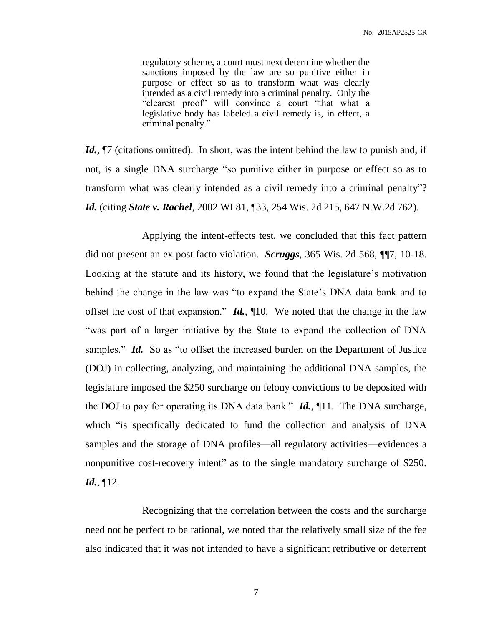regulatory scheme, a court must next determine whether the sanctions imposed by the law are so punitive either in purpose or effect so as to transform what was clearly intended as a civil remedy into a criminal penalty. Only the "clearest proof" will convince a court "that what a legislative body has labeled a civil remedy is, in effect, a criminal penalty."

*Id.*,  $\P$ 7 (citations omitted). In short, was the intent behind the law to punish and, if not, is a single DNA surcharge "so punitive either in purpose or effect so as to transform what was clearly intended as a civil remedy into a criminal penalty"? *Id.* (citing *State v. Rachel*, [2002 WI 81, ¶33, 254 Wis.](https://1.next.westlaw.com/Link/Document/FullText?findType=Y&serNum=2002408198&pubNum=0000595&originatingDoc=I8b70f93777e911e590d4edf60ce7d742&refType=RP&originationContext=document&transitionType=DocumentItem&contextData=(sc.Folder)) 2d 215, 647 N.W.2d 762).

Applying the intent-effects test, we concluded that this fact pattern did not present an ex post facto violation. *Scruggs*, 365 Wis. 2d 568, ¶¶7, 10-18. Looking at the statute and its history, we found that the legislature's motivation behind the change in the law was "to expand the State's DNA data bank and to offset the cost of that expansion." *Id.*, ¶10. We noted that the change in the law "was part of a larger initiative by the State to expand the collection of DNA samples." *Id.* So as "to offset the increased burden on the Department of Justice (DOJ) in collecting, analyzing, and maintaining the additional DNA samples, the legislature imposed the \$250 surcharge on felony convictions to be deposited with the DOJ to pay for operating its DNA data bank." *Id.*, ¶11. The DNA surcharge, which "is specifically dedicated to fund the collection and analysis of DNA samples and the storage of DNA profiles—all regulatory activities—evidences a nonpunitive cost-recovery intent" as to the single mandatory surcharge of \$250. *Id.*, ¶12.

Recognizing that the correlation between the costs and the surcharge need not be perfect to be rational, we noted that the relatively small size of the fee also indicated that it was not intended to have a significant retributive or deterrent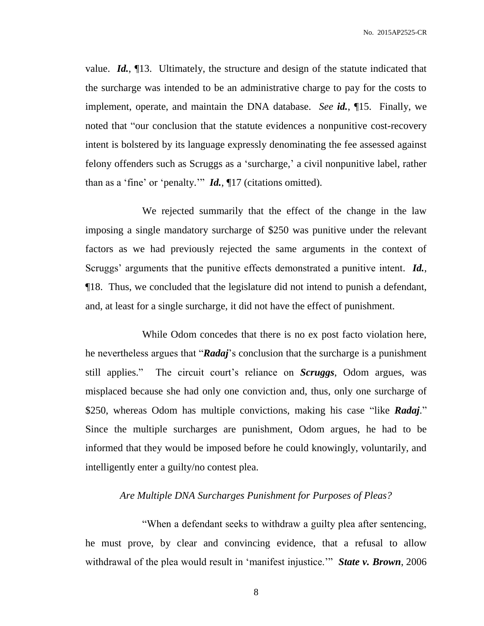value. *Id.*, ¶13. Ultimately, the structure and design of the statute indicated that the surcharge was intended to be an administrative charge to pay for the costs to implement, operate, and maintain the DNA database. *See id.*, ¶15. Finally, we noted that "our conclusion that the statute evidences a nonpunitive cost-recovery intent is bolstered by its language expressly denominating the fee assessed against felony offenders such as Scruggs as a 'surcharge,' a civil nonpunitive label, rather than as a 'fine' or 'penalty.'" *Id.*, ¶17 (citations omitted).

We rejected summarily that the effect of the change in the law imposing a single mandatory surcharge of \$250 was punitive under the relevant factors as we had previously rejected the same arguments in the context of Scruggs' arguments that the punitive effects demonstrated a punitive intent. *Id.*, ¶18. Thus, we concluded that the legislature did not intend to punish a defendant, and, at least for a single surcharge, it did not have the effect of punishment.

While Odom concedes that there is no ex post facto violation here, he nevertheless argues that "*Radaj*'s conclusion that the surcharge is a punishment still applies." The circuit court's reliance on *Scruggs*, Odom argues, was misplaced because she had only one conviction and, thus, only one surcharge of \$250, whereas Odom has multiple convictions, making his case "like *Radaj*." Since the multiple surcharges are punishment, Odom argues, he had to be informed that they would be imposed before he could knowingly, voluntarily, and intelligently enter a guilty/no contest plea.

## *Are Multiple DNA Surcharges Punishment for Purposes of Pleas?*

"When a defendant seeks to withdraw a guilty plea after sentencing, he must prove, by clear and convincing evidence, that a refusal to allow withdrawal of the plea would result in 'manifest injustice.'" *[State v. Brown](https://1.next.westlaw.com/Link/Document/FullText?findType=Y&serNum=2009534489&pubNum=595&originatingDoc=Id7443836469111e1a84ff3e97352c397&refType=RP&originationContext=document&transitionType=DocumentItem&contextData=(sc.CustomDigest))*, 2006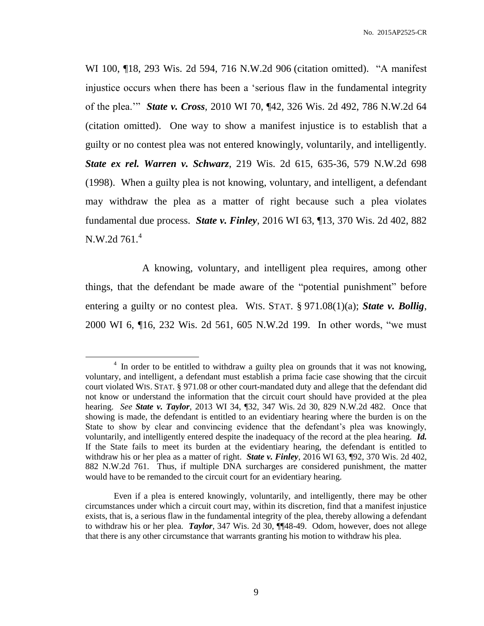WI 100, ¶18, 293 Wis. [2d 594, 716 N.W.2d 906](https://1.next.westlaw.com/Link/Document/FullText?findType=Y&serNum=2009534489&pubNum=595&originatingDoc=Id7443836469111e1a84ff3e97352c397&refType=RP&originationContext=document&transitionType=DocumentItem&contextData=(sc.CustomDigest)) (citation omitted). "A manifest injustice occurs when there has been a 'serious flaw in the fundamental integrity of the plea.'" *State v. Cross*, 2010 WI 70, ¶42, 326 Wis. 2d 492, 786 N.W.2d 64 (citation omitted). One way to show a manifest injustice is to establish that a guilty or no contest plea was not entered knowingly, voluntarily, and intelligently. *State ex rel. Warren v. Schwarz*, 219 Wis. 2d 615, 635-36, 579 N.W.2d 698 (1998). When a guilty plea is not knowing, voluntary, and intelligent, a defendant may withdraw the plea as a matter of right because such a plea violates fundamental due process. *State v. Finley*, 2016 WI 63, ¶13, 370 Wis. 2d 402, 882 N.W.2d 761.<sup>4</sup>

A knowing, voluntary, and intelligent plea requires, among other things, that the defendant be made aware of the "potential punishment" before entering a guilty or no contest plea. WIS. STAT. § 971.08(1)(a); *State v. Bollig*, 2000 WI 6, ¶16, 232 Wis. 2d 561, 605 N.W.2d 199. In other words, "we must

<sup>&</sup>lt;sup>4</sup> In order to be entitled to withdraw a guilty plea on grounds that it was not knowing, voluntary, and intelligent, a defendant must establish a prima facie case showing that the circuit court violated WIS. STAT. § 971.08 or other court-mandated duty and allege that the defendant did not know or understand the information that the circuit court should have provided at the plea hearing. *See State v. Taylor*, 2013 WI 34, ¶32, 347 Wis. 2d 30, 829 N.W.2d 482. Once that showing is made, the defendant is entitled to an evidentiary hearing where the burden is on the State to show by clear and convincing evidence that the defendant's plea was knowingly, voluntarily, and intelligently entered despite the inadequacy of the record at the plea hearing. *Id.*  If the State fails to meet its burden at the evidentiary hearing, the defendant is entitled to withdraw his or her plea as a matter of right. *State v. Finley*, 2016 WI 63, ¶92, 370 Wis. 2d 402, 882 N.W.2d 761. Thus, if multiple DNA surcharges are considered punishment, the matter would have to be remanded to the circuit court for an evidentiary hearing.

Even if a plea is entered knowingly, voluntarily, and intelligently, there may be other circumstances under which a circuit court may, within its discretion, find that a manifest injustice exists, that is, a serious flaw in the fundamental integrity of the plea, thereby allowing a defendant to withdraw his or her plea. *Taylor*, 347 Wis. 2d 30, ¶¶48-49. Odom, however, does not allege that there is any other circumstance that warrants granting his motion to withdraw his plea.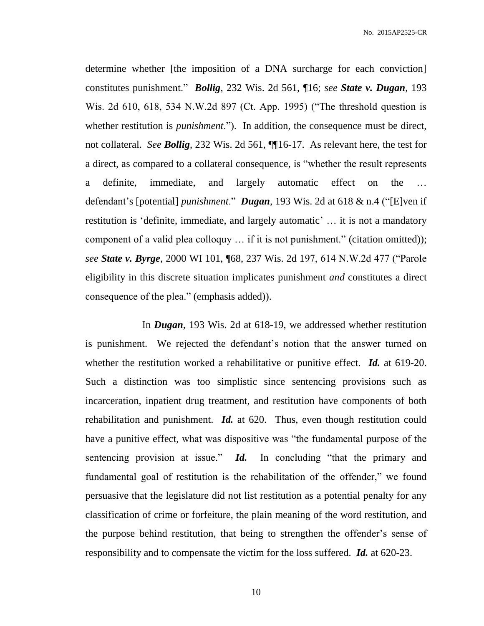determine whether [the imposition of a DNA surcharge for each conviction] constitutes punishment." *Bollig*, 232 Wis. 2d 561, ¶16; *see State v. Dugan*, 193 Wis. 2d 610, 618, 534 N.W.2d 897 (Ct. App. 1995) ("The threshold question is whether restitution is *punishment*."). In addition, the consequence must be direct, not collateral. *See Bollig*, 232 Wis. 2d 561, ¶¶16-17. As relevant here, the test for a direct, as compared to a collateral consequence, is "whether the result represents a definite, immediate, and largely automatic effect on the defendant's [potential] *punishment*." *Dugan*, 193 Wis. 2d at 618 & n.4 ("[E]ven if restitution is 'definite, immediate, and largely automatic' … it is not a mandatory component of a valid plea colloquy … if it is not punishment." (citation omitted)); *see State v. Byrge*, 2000 WI 101, ¶68, 237 Wis. 2d 197, 614 N.W.2d 477 ("Parole eligibility in this discrete situation implicates punishment *and* constitutes a direct consequence of the plea." (emphasis added)).

In *Dugan*, 193 Wis. 2d at 618-19, we addressed whether restitution is punishment. We rejected the defendant's notion that the answer turned on whether the restitution worked a rehabilitative or punitive effect. *Id.* at 619-20. Such a distinction was too simplistic since sentencing provisions such as incarceration, inpatient drug treatment, and restitution have components of both rehabilitation and punishment. *Id.* at 620. Thus, even though restitution could have a punitive effect, what was dispositive was "the fundamental purpose of the sentencing provision at issue." *Id*. In concluding "that the primary and fundamental goal of restitution is the rehabilitation of the offender," we found persuasive that the legislature did not list restitution as a potential penalty for any classification of crime or forfeiture, the plain meaning of the word restitution, and the purpose behind restitution, that being to strengthen the offender's sense of responsibility and to compensate the victim for the loss suffered. *Id.* at 620-23.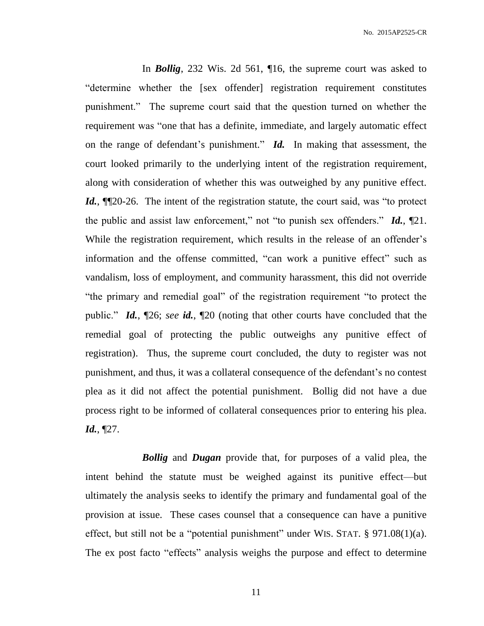In *Bollig*, 232 Wis. 2d 561, ¶16, the supreme court was asked to "determine whether the [sex offender] registration requirement constitutes punishment." The supreme court said that the question turned on whether the requirement was "one that has a definite, immediate, and largely automatic effect on the range of defendant's punishment." *Id.* In making that assessment, the court looked primarily to the underlying intent of the registration requirement, along with consideration of whether this was outweighed by any punitive effect. *Id.*, **[1**20-26. The intent of the registration statute, the court said, was "to protect the public and assist law enforcement," not "to punish sex offenders." *Id.*, ¶21. While the registration requirement, which results in the release of an offender's information and the offense committed, "can work a punitive effect" such as vandalism, loss of employment, and community harassment, this did not override "the primary and remedial goal" of the registration requirement "to protect the public." *Id.*, ¶26; *see id.*, ¶20 (noting that other courts have concluded that the remedial goal of protecting the public outweighs any punitive effect of registration). Thus, the supreme court concluded, the duty to register was not punishment, and thus, it was a collateral consequence of the defendant's no contest plea as it did not affect the potential punishment. Bollig did not have a due process right to be informed of collateral consequences prior to entering his plea. *Id.*, ¶27.

*Bollig* and *Dugan* provide that, for purposes of a valid plea, the intent behind the statute must be weighed against its punitive effect—but ultimately the analysis seeks to identify the primary and fundamental goal of the provision at issue. These cases counsel that a consequence can have a punitive effect, but still not be a "potential punishment" under WIS. STAT. § 971.08(1)(a). The ex post facto "effects" analysis weighs the purpose and effect to determine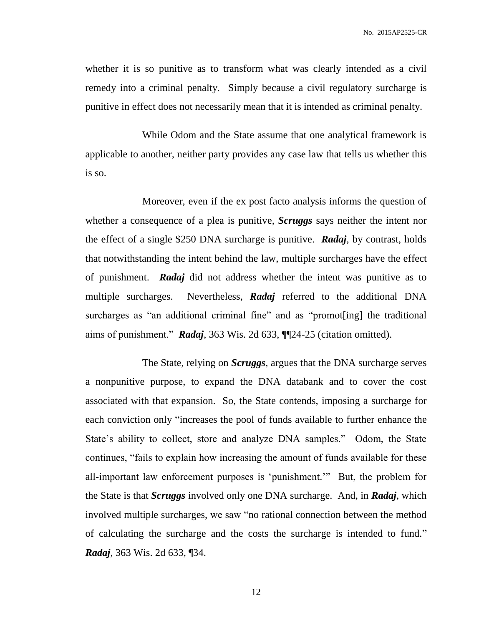whether it is so punitive as to transform what was clearly intended as a civil remedy into a criminal penalty. Simply because a civil regulatory surcharge is punitive in effect does not necessarily mean that it is intended as criminal penalty.

While Odom and the State assume that one analytical framework is applicable to another, neither party provides any case law that tells us whether this is so.

Moreover, even if the ex post facto analysis informs the question of whether a consequence of a plea is punitive, *Scruggs* says neither the intent nor the effect of a single \$250 DNA surcharge is punitive. *Radaj*, by contrast, holds that notwithstanding the intent behind the law, multiple surcharges have the effect of punishment. *Radaj* did not address whether the intent was punitive as to multiple surcharges. Nevertheless, *Radaj* referred to the additional DNA surcharges as "an additional criminal fine" and as "promot[ing] the traditional aims of punishment." *Radaj*, 363 Wis. 2d 633, ¶¶24-25 (citation omitted).

The State, relying on *Scruggs*, argues that the DNA surcharge serves a nonpunitive purpose, to expand the DNA databank and to cover the cost associated with that expansion. So, the State contends, imposing a surcharge for each conviction only "increases the pool of funds available to further enhance the State's ability to collect, store and analyze DNA samples." Odom, the State continues, "fails to explain how increasing the amount of funds available for these all-important law enforcement purposes is 'punishment.'" But, the problem for the State is that *Scruggs* involved only one DNA surcharge. And, in *Radaj*, which involved multiple surcharges, we saw "no rational connection between the method of calculating the surcharge and the costs the surcharge is intended to fund." *Radaj*, 363 Wis. 2d 633, ¶34.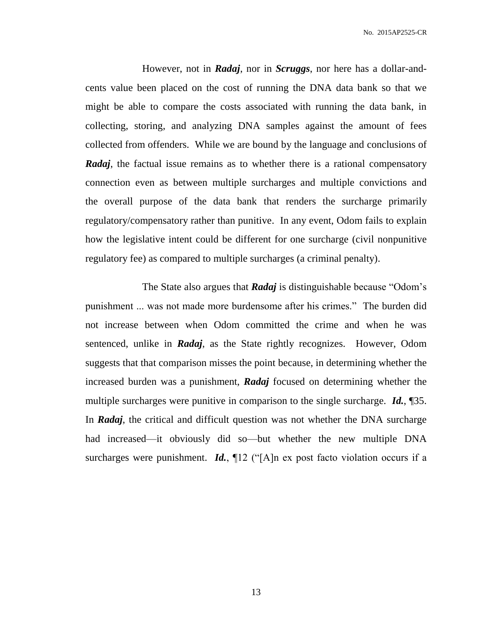However, not in *Radaj*, nor in *Scruggs*, nor here has a dollar-andcents value been placed on the cost of running the DNA data bank so that we might be able to compare the costs associated with running the data bank, in collecting, storing, and analyzing DNA samples against the amount of fees collected from offenders. While we are bound by the language and conclusions of *Radaj*, the factual issue remains as to whether there is a rational compensatory connection even as between multiple surcharges and multiple convictions and the overall purpose of the data bank that renders the surcharge primarily regulatory/compensatory rather than punitive. In any event, Odom fails to explain how the legislative intent could be different for one surcharge (civil nonpunitive regulatory fee) as compared to multiple surcharges (a criminal penalty).

The State also argues that *Radaj* is distinguishable because "Odom's punishment ... was not made more burdensome after his crimes." The burden did not increase between when Odom committed the crime and when he was sentenced, unlike in *Radaj*, as the State rightly recognizes. However, Odom suggests that that comparison misses the point because, in determining whether the increased burden was a punishment, *Radaj* focused on determining whether the multiple surcharges were punitive in comparison to the single surcharge. *Id.*, ¶35. In *Radaj*, the critical and difficult question was not whether the DNA surcharge had increased—it obviously did so—but whether the new multiple DNA surcharges were punishment. *Id.*,  $\P$ 12 ("[A]n ex post facto violation occurs if a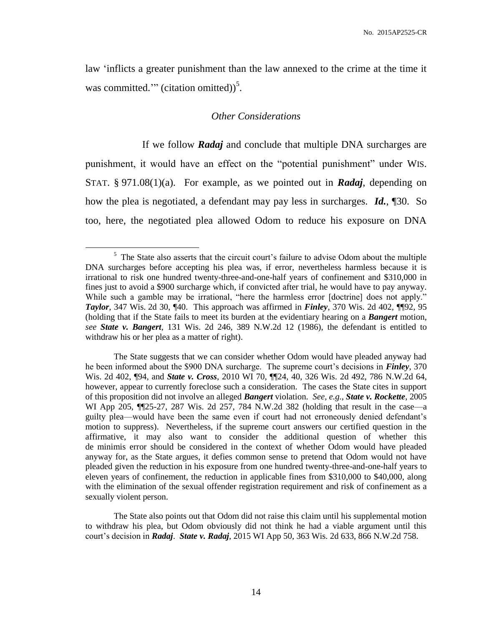law 'inflicts a greater punishment than the law annexed to the crime at the time it was committed." (citation omitted))<sup>5</sup>.

#### *Other Considerations*

If we follow *Radaj* and conclude that multiple DNA surcharges are punishment, it would have an effect on the "potential punishment" under WIS. STAT. § 971.08(1)(a). For example, as we pointed out in *Radaj*, depending on how the plea is negotiated, a defendant may pay less in surcharges. *Id.*, ¶30. So too, here, the negotiated plea allowed Odom to reduce his exposure on DNA

<sup>&</sup>lt;sup>5</sup> The State also asserts that the circuit court's failure to advise Odom about the multiple DNA surcharges before accepting his plea was, if error, nevertheless harmless because it is irrational to risk one hundred twenty-three-and-one-half years of confinement and \$310,000 in fines just to avoid a \$900 surcharge which, if convicted after trial, he would have to pay anyway. While such a gamble may be irrational, "here the harmless error [doctrine] does not apply." *Taylor*, 347 Wis. 2d 30, ¶40. This approach was affirmed in *Finley*, 370 Wis. 2d 402, ¶¶92, 95 (holding that if the State fails to meet its burden at the evidentiary hearing on a *Bangert* motion, *see State v. Bangert*, 131 Wis. 2d 246, 389 N.W.2d 12 (1986), the defendant is entitled to withdraw his or her plea as a matter of right).

The State suggests that we can consider whether Odom would have pleaded anyway had he been informed about the \$900 DNA surcharge. The supreme court's decisions in *Finley*, 370 Wis. 2d 402, ¶94, and *State v. Cross*, 2010 WI 70, ¶¶24, 40, 326 Wis. 2d 492, 786 N.W.2d 64, however, appear to currently foreclose such a consideration. The cases the State cites in support of this proposition did not involve an alleged *Bangert* violation. *See, e.g.*, *State v. Rockette*, 2005 WI App 205,  $\P$ [25-27, 287 Wis. 2d 257, 784 N.W.2d 382 (holding that result in the case—a guilty plea—would have been the same even if court had not erroneously denied defendant's motion to suppress). Nevertheless, if the supreme court answers our certified question in the affirmative, it may also want to consider the additional question of whether this de minimis error should be considered in the context of whether Odom would have pleaded anyway for, as the State argues, it defies common sense to pretend that Odom would not have pleaded given the reduction in his exposure from one hundred twenty-three-and-one-half years to eleven years of confinement, the reduction in applicable fines from \$310,000 to \$40,000, along with the elimination of the sexual offender registration requirement and risk of confinement as a sexually violent person.

The State also points out that Odom did not raise this claim until his supplemental motion to withdraw his plea, but Odom obviously did not think he had a viable argument until this court's decision in *Radaj*. *State v. Radaj*, 2015 WI App 50, 363 Wis. 2d 633, 866 N.W.2d 758.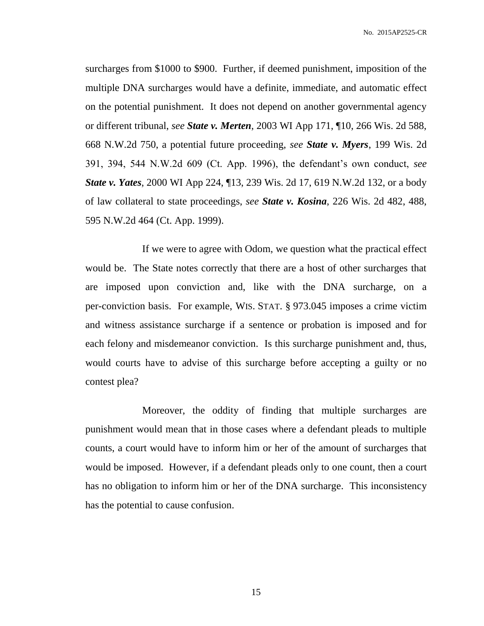surcharges from \$1000 to \$900. Further, if deemed punishment, imposition of the multiple DNA surcharges would have a definite, immediate, and automatic effect on the potential punishment. It does not depend on another governmental agency or different tribunal, *see State v. Merten*, 2003 WI App 171, ¶10, 266 Wis. 2d 588, 668 N.W.2d 750, a potential future proceeding, *see State v. Myers*, 199 Wis. 2d 391, 394, 544 N.W.2d 609 (Ct. App. 1996), the defendant's own conduct, *see State v. Yates*, 2000 WI App 224, ¶13, 239 Wis. 2d 17, 619 N.W.2d 132, or a body of law collateral to state proceedings, *see State v. Kosina*, 226 Wis. 2d 482, 488, 595 N.W.2d 464 (Ct. App. 1999).

If we were to agree with Odom, we question what the practical effect would be. The State notes correctly that there are a host of other surcharges that are imposed upon conviction and, like with the DNA surcharge, on a per-conviction basis. For example, WIS. STAT. § 973.045 imposes a crime victim and witness assistance surcharge if a sentence or probation is imposed and for each felony and misdemeanor conviction. Is this surcharge punishment and, thus, would courts have to advise of this surcharge before accepting a guilty or no contest plea?

Moreover, the oddity of finding that multiple surcharges are punishment would mean that in those cases where a defendant pleads to multiple counts, a court would have to inform him or her of the amount of surcharges that would be imposed. However, if a defendant pleads only to one count, then a court has no obligation to inform him or her of the DNA surcharge. This inconsistency has the potential to cause confusion.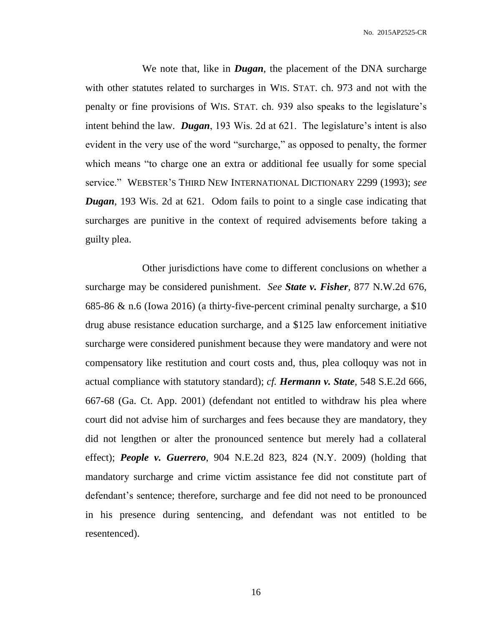We note that, like in *Dugan*, the placement of the DNA surcharge with other statutes related to surcharges in WIS. STAT. ch. 973 and not with the penalty or fine provisions of WIS. STAT. ch. 939 also speaks to the legislature's intent behind the law. *Dugan*, 193 Wis. 2d at 621. The legislature's intent is also evident in the very use of the word "surcharge," as opposed to penalty, the former which means "to charge one an extra or additional fee usually for some special service." WEBSTER'S THIRD NEW INTERNATIONAL DICTIONARY 2299 (1993); *see Dugan*, 193 Wis. 2d at 621. Odom fails to point to a single case indicating that surcharges are punitive in the context of required advisements before taking a guilty plea.

Other jurisdictions have come to different conclusions on whether a surcharge may be considered punishment. *See State v. Fisher*, 877 N.W.2d 676, 685-86 & n.6 (Iowa 2016) (a thirty-five-percent criminal penalty surcharge, a \$10 drug abuse resistance education surcharge, and a \$125 law enforcement initiative surcharge were considered punishment because they were mandatory and were not compensatory like restitution and court costs and, thus, plea colloquy was not in actual compliance with statutory standard); *cf. Hermann v. State*, 548 S.E.2d 666, 667-68 (Ga. Ct. App. 2001) (defendant not entitled to withdraw his plea where court did not advise him of surcharges and fees because they are mandatory, they did not lengthen or alter the pronounced sentence but merely had a collateral effect); *People v. Guerrero*, 904 N.E.2d 823, 824 (N.Y. 2009) (holding that mandatory surcharge and crime victim assistance fee did not constitute part of defendant's sentence; therefore, surcharge and fee did not need to be pronounced in his presence during sentencing, and defendant was not entitled to be resentenced).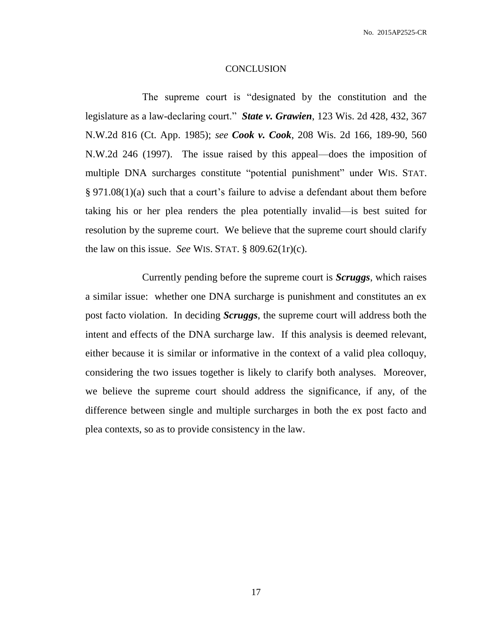#### **CONCLUSION**

The supreme court is "designated by the constitution and the legislature as a law-declaring court." *State v. Grawien*, 123 Wis. 2d 428, 432, 367 N.W.2d 816 (Ct. App. 1985); *see Cook v. Cook*, 208 Wis. 2d 166, 189-90, 560 N.W.2d 246 (1997). The issue raised by this appeal—does the imposition of multiple DNA surcharges constitute "potential punishment" under WIS. STAT. § 971.08(1)(a) such that a court's failure to advise a defendant about them before taking his or her plea renders the plea potentially invalid—is best suited for resolution by the supreme court. We believe that the supreme court should clarify the law on this issue. *See* WIS. STAT. § 809.62(1r)(c).

Currently pending before the supreme court is *Scruggs*, which raises a similar issue: whether one DNA surcharge is punishment and constitutes an ex post facto violation. In deciding *Scruggs*, the supreme court will address both the intent and effects of the DNA surcharge law. If this analysis is deemed relevant, either because it is similar or informative in the context of a valid plea colloquy, considering the two issues together is likely to clarify both analyses. Moreover, we believe the supreme court should address the significance, if any, of the difference between single and multiple surcharges in both the ex post facto and plea contexts, so as to provide consistency in the law.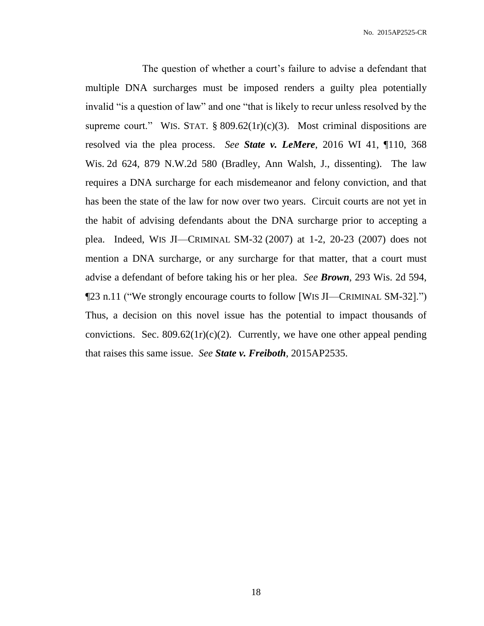The question of whether a court's failure to advise a defendant that multiple DNA surcharges must be imposed renders a guilty plea potentially invalid "is a question of law" and one "that is likely to recur unless resolved by the supreme court." WIS. STAT.  $\S 809.62(1r)(c)(3)$ . Most criminal dispositions are resolved via the plea process. *See State v. LeMere*, 2016 WI 41, ¶110, 368 Wis. 2d 624, 879 N.W.2d 580 (Bradley, Ann Walsh, J., dissenting). The law requires a DNA surcharge for each misdemeanor and felony conviction, and that has been the state of the law for now over two years. Circuit courts are not yet in the habit of advising defendants about the DNA surcharge prior to accepting a plea. Indeed, WIS JI—CRIMINAL SM-32 (2007) at 1-2, 20-23 (2007) does not mention a DNA surcharge, or any surcharge for that matter, that a court must advise a defendant of before taking his or her plea. *See Brown*, 293 Wis. 2d 594, ¶23 n.11 ("We strongly encourage courts to follow [WIS JI—CRIMINAL SM-32].") Thus, a decision on this novel issue has the potential to impact thousands of convictions. Sec.  $809.62(1r)(c)(2)$ . Currently, we have one other appeal pending that raises this same issue. *See State v. Freiboth*, 2015AP2535.